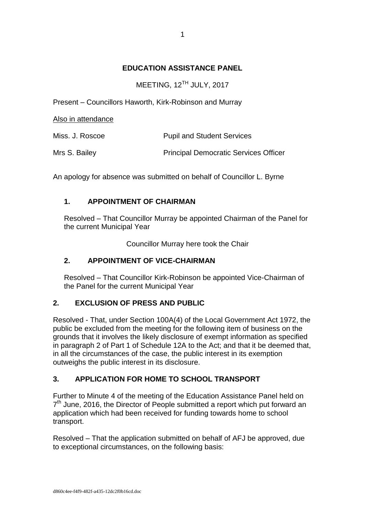## **EDUCATION ASSISTANCE PANEL**

MEETING, 12<sup>TH</sup> JULY, 2017

Present – Councillors Haworth, Kirk-Robinson and Murray

Also in attendance

| Miss. J. Roscoe | <b>Pupil and Student Services</b>            |
|-----------------|----------------------------------------------|
| Mrs S. Bailey   | <b>Principal Democratic Services Officer</b> |

An apology for absence was submitted on behalf of Councillor L. Byrne

# **1. APPOINTMENT OF CHAIRMAN**

Resolved – That Councillor Murray be appointed Chairman of the Panel for the current Municipal Year

Councillor Murray here took the Chair

### **2. APPOINTMENT OF VICE-CHAIRMAN**

Resolved – That Councillor Kirk-Robinson be appointed Vice-Chairman of the Panel for the current Municipal Year

### **2. EXCLUSION OF PRESS AND PUBLIC**

Resolved - That, under Section 100A(4) of the Local Government Act 1972, the public be excluded from the meeting for the following item of business on the grounds that it involves the likely disclosure of exempt information as specified in paragraph 2 of Part 1 of Schedule 12A to the Act; and that it be deemed that, in all the circumstances of the case, the public interest in its exemption outweighs the public interest in its disclosure.

### **3. APPLICATION FOR HOME TO SCHOOL TRANSPORT**

Further to Minute 4 of the meeting of the Education Assistance Panel held on 7<sup>th</sup> June, 2016, the Director of People submitted a report which put forward an application which had been received for funding towards home to school transport.

Resolved – That the application submitted on behalf of AFJ be approved, due to exceptional circumstances, on the following basis: